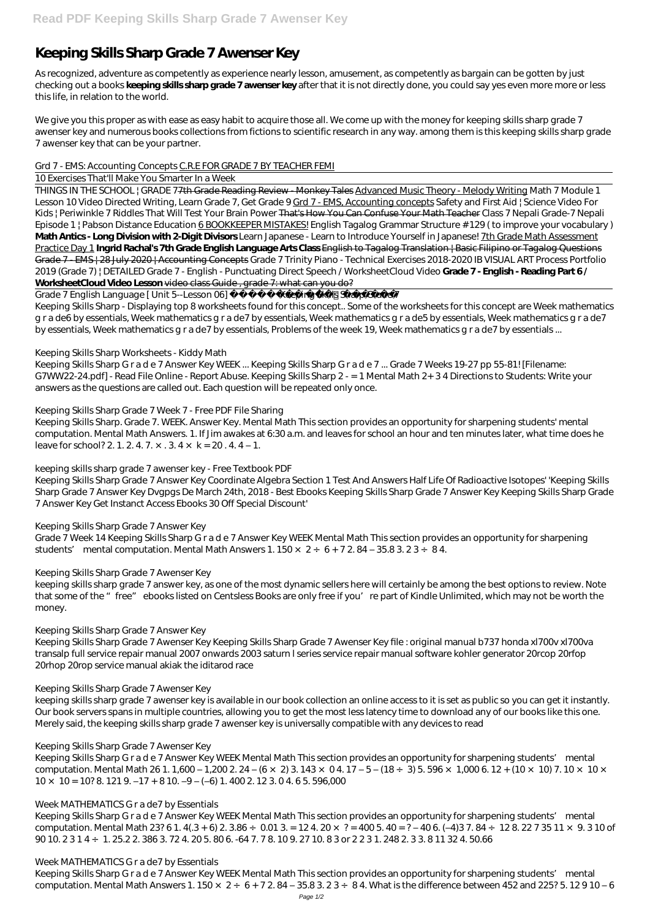# **Keeping Skills Sharp Grade 7 Awenser Key**

As recognized, adventure as competently as experience nearly lesson, amusement, as competently as bargain can be gotten by just checking out a books **keeping skills sharp grade 7 awenser key** after that it is not directly done, you could say yes even more more or less this life, in relation to the world.

We give you this proper as with ease as easy habit to acquire those all. We come up with the money for keeping skills sharp grade 7 awenser key and numerous books collections from fictions to scientific research in any way. among them is this keeping skills sharp grade 7 awenser key that can be your partner.

#### Grd 7 - EMS: Accounting Concepts C.R.E FOR GRADE 7 BY TEACHER FEMI

#### 10 Exercises That'll Make You Smarter In a Week

Grade 7 English Language [ Unit 5--Lesson 06] Keeping Skills Sharp Grade 7 Keeping Skills Sharp - Displaying top 8 worksheets found for this concept.. Some of the worksheets for this concept are Week mathematics g r a de6 by essentials, Week mathematics g r a de7 by essentials, Week mathematics g r a de5 by essentials, Week mathematics g r a de7 by essentials, Week mathematics g r a de7 by essentials, Problems of the week 19, Week mathematics g r a de7 by essentials ...

THINGS IN THE SCHOOL | GRADE 77th Grade Reading Review - Monkey Tales Advanced Music Theory - Melody Writing *Math 7 Module 1 Lesson 10 Video* Directed Writing, Learn Grade 7, Get Grade 9 Grd 7 - EMS, Accounting concepts *Safety and First Aid | Science Video For Kids | Periwinkle* 7 Riddles That Will Test Your Brain Power That's How You Can Confuse Your Math Teacher *Class 7 Nepali Grade-7 Nepali Episode 1 | Pabson Distance Education* 6 BOOKKEEPER MISTAKES! *English Tagalog Grammar Structure # 129 ( to improve your vocabulary )* **Math Antics - Long Division with 2-Digit Divisors** *Learn Japanese - Learn to Introduce Yourself in Japanese!* 7th Grade Math Assessment Practice Day 1 **Ingrid Rachal's 7th Grade English Language Arts Class** English to Tagalog Translation | Basic Filipino or Tagalog Questions Grade 7 - EMS | 28 July 2020 | Accounting Concepts *Grade 7 Trinity Piano - Technical Exercises 2018-2020 IB VISUAL ART Process Portfolio 2019 (Grade 7) | DETAILED Grade 7 - English - Punctuating Direct Speech / WorksheetCloud Video* **Grade 7 - English - Reading Part 6 / WorksheetCloud Video Lesson** video class Guide , grade 7: what can you do?

Keeping Skills Sharp. Grade 7. WEEK. Answer Key. Mental Math This section provides an opportunity for sharpening students' mental computation. Mental Math Answers. 1. If Jim awakes at 6:30 a.m. and leaves for school an hour and ten minutes later, what time does he leave for school? 2. 1. 2. 4. 7.  $\times$  . 3. 4  $\times$  k = 20. 4. 4 – 1.

Grade 7 Week 14 Keeping Skills Sharp G r a d e 7 Answer Key WEEK Mental Math This section provides an opportunity for sharpening students' mental computation. Mental Math Answers 1.  $150 \times 2 \div 6 + 72$ . 84 – 35.8 3.  $23 \div 84$ .

Keeping Skills Sharp Grade 7 Awenser Key Keeping Skills Sharp Grade 7 Awenser Key file : original manual b737 honda xl700v xl700va transalp full service repair manual 2007 onwards 2003 saturn l series service repair manual software kohler generator 20rcop 20rfop 20rhop 20rop service manual akiak the iditarod race

## Keeping Skills Sharp Worksheets - Kiddy Math

Keeping Skills Sharp G r a d e 7 Answer Key WEEK Mental Math This section provides an opportunity for sharpening students' mental computation. Mental Math 26 1. 1,600 – 1,200 2. 24 – (6 × 2) 3. 143 × 0 4. 17 – 5 – (18 ÷ 3) 5. 596 × 1,000 6. 12 + (10 × 10) 7. 10 × 10 ×  $10 \times 10 = 10$ ? 8. 121 9. –17 + 810. –9 – (–6) 1. 400 2. 12 3. 0 4. 6 5. 596,000

Keeping Skills Sharp G r a d e 7 Answer Key WEEK ... Keeping Skills Sharp G r a d e 7 ... Grade 7 Weeks 19-27 pp 55-81! [Filename: G7WW22-24.pdf] - Read File Online - Report Abuse. Keeping Skills Sharp 2 - = 1 Mental Math 2+ 3 4 Directions to Students: Write your answers as the questions are called out. Each question will be repeated only once.

Keeping Skills Sharp Grade 7 Week 7 - Free PDF File Sharing

Keeping Skills Sharp G r a d e 7 Answer Key WEEK Mental Math This section provides an opportunity for sharpening students' mental computation. Mental Math Answers 1.  $150 \times 2 \div 6 + 72.84 - 35.83.23 \div 84.$  What is the difference between 452 and 225? 5. 12910-6

keeping skills sharp grade 7 awenser key - Free Textbook PDF

Keeping Skills Sharp Grade 7 Answer Key Coordinate Algebra Section 1 Test And Answers Half Life Of Radioactive Isotopes' 'Keeping Skills Sharp Grade 7 Answer Key Dvgpgs De March 24th, 2018 - Best Ebooks Keeping Skills Sharp Grade 7 Answer Key Keeping Skills Sharp Grade 7 Answer Key Get Instanct Access Ebooks 30 Off Special Discount'

## Keeping Skills Sharp Grade 7 Answer Key

## Keeping Skills Sharp Grade 7 Awenser Key

keeping skills sharp grade 7 answer key, as one of the most dynamic sellers here will certainly be among the best options to review. Note that some of the "free" ebooks listed on Centsless Books are only free if you're part of Kindle Unlimited, which may not be worth the money.

## Keeping Skills Sharp Grade 7 Answer Key

Keeping Skills Sharp Grade 7 Awenser Key

keeping skills sharp grade 7 awenser key is available in our book collection an online access to it is set as public so you can get it instantly. Our book servers spans in multiple countries, allowing you to get the most less latency time to download any of our books like this one. Merely said, the keeping skills sharp grade 7 awenser key is universally compatible with any devices to read

#### Keeping Skills Sharp Grade 7 Awenser Key

#### Week MATHEMATICS G r a de7 by Essentials

Keeping Skills Sharp G r a d e 7 Answer Key WEEK Mental Math This section provides an opportunity for sharpening students' mental computation. Mental Math 23? 61. 4(.3 + 6) 2. 3.86  $\div$  0.01 3. = 12 4. 20  $\times$  ? = 400 5. 40 = ? - 40 6. (-4)3 7. 84  $\div$  12 8. 22 7 35 11  $\times$  9. 3 10 of 90 10. 2 3 1 4 ÷ 1. 25.2 2. 386 3. 72 4. 20 5. 80 6. -64 7. 7 8. 10 9. 27 10. 8 3 or 2 2 3 1. 248 2. 3 3. 8 11 32 4. 50.66

Week MATHEMATICS G r a de7 by Essentials